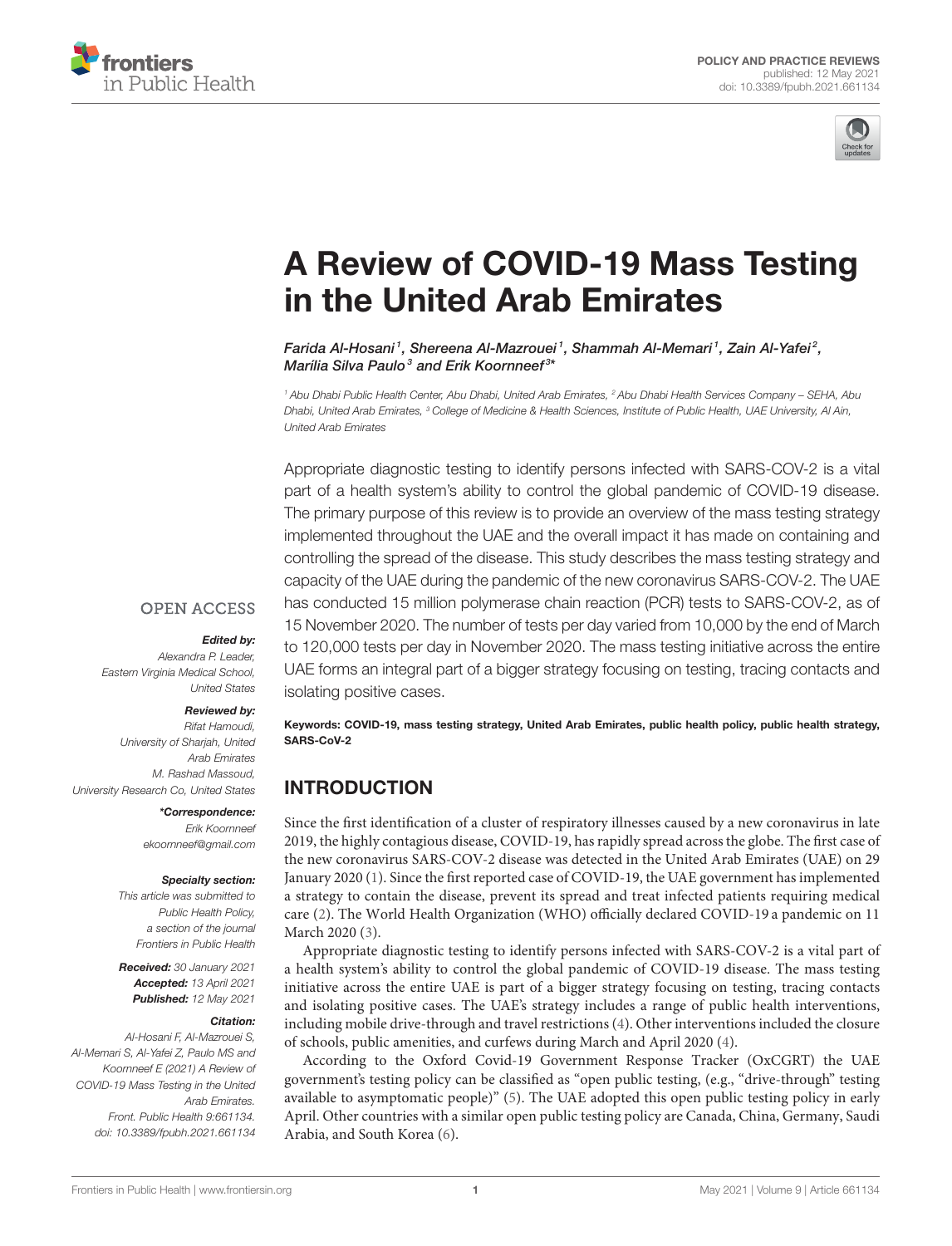



# [A Review of COVID-19 Mass Testing](https://www.frontiersin.org/articles/10.3389/fpubh.2021.661134/full) in the United Arab Emirates

Farida Al-Hosani<sup>1</sup>, Shereena Al-Mazrouei<sup>1</sup>, Shammah Al-Memari<sup>1</sup>, Zain Al-Yafei<sup>2</sup>, Marília Silva Paulo<sup>3</sup> and Erik Koornneef<sup>3\*</sup>

*<sup>1</sup> Abu Dhabi Public Health Center, Abu Dhabi, United Arab Emirates, <sup>2</sup> Abu Dhabi Health Services Company – SEHA, Abu Dhabi, United Arab Emirates, <sup>3</sup> College of Medicine & Health Sciences, Institute of Public Health, UAE University, Al Ain, United Arab Emirates*

Appropriate diagnostic testing to identify persons infected with SARS-COV-2 is a vital part of a health system's ability to control the global pandemic of COVID-19 disease. The primary purpose of this review is to provide an overview of the mass testing strategy implemented throughout the UAE and the overall impact it has made on containing and controlling the spread of the disease. This study describes the mass testing strategy and capacity of the UAE during the pandemic of the new coronavirus SARS-COV-2. The UAE has conducted 15 million polymerase chain reaction (PCR) tests to SARS-COV-2, as of 15 November 2020. The number of tests per day varied from 10,000 by the end of March to 120,000 tests per day in November 2020. The mass testing initiative across the entire UAE forms an integral part of a bigger strategy focusing on testing, tracing contacts and isolating positive cases.

### **OPEN ACCESS**

### Edited by:

*Alexandra P. Leader, Eastern Virginia Medical School, United States*

#### Reviewed by:

*Rifat Hamoudi, University of Sharjah, United Arab Emirates M. Rashad Massoud, University Research Co, United States*

#### \*Correspondence:

*Erik Koornneef [ekoornneef@gmail.com](mailto:ekoornneef@gmail.com)*

#### Specialty section:

*This article was submitted to Public Health Policy, a section of the journal Frontiers in Public Health*

Received: *30 January 2021* Accepted: *13 April 2021* Published: *12 May 2021*

### Citation:

*Al-Hosani F, Al-Mazrouei S, Al-Memari S, Al-Yafei Z, Paulo MS and Koornneef E (2021) A Review of COVID-19 Mass Testing in the United Arab Emirates. Front. Public Health 9:661134. doi: [10.3389/fpubh.2021.661134](https://doi.org/10.3389/fpubh.2021.661134)*

Keywords: COVID-19, mass testing strategy, United Arab Emirates, public health policy, public health strategy, SARS-CoV-2

# INTRODUCTION

Since the first identification of a cluster of respiratory illnesses caused by a new coronavirus in late 2019, the highly contagious disease, COVID-19, has rapidly spread across the globe. The first case of the new coronavirus SARS-COV-2 disease was detected in the United Arab Emirates (UAE) on 29 January 2020 [\(1\)](#page-5-0). Since the first reported case of COVID-19, the UAE government has implemented a strategy to contain the disease, prevent its spread and treat infected patients requiring medical care [\(2\)](#page-5-1). The World Health Organization (WHO) officially declared COVID-19 a pandemic on 11 March 2020 [\(3\)](#page-5-2).

Appropriate diagnostic testing to identify persons infected with SARS-COV-2 is a vital part of a health system's ability to control the global pandemic of COVID-19 disease. The mass testing initiative across the entire UAE is part of a bigger strategy focusing on testing, tracing contacts and isolating positive cases. The UAE's strategy includes a range of public health interventions, including mobile drive-through and travel restrictions [\(4\)](#page-5-3). Other interventions included the closure of schools, public amenities, and curfews during March and April 2020 [\(4\)](#page-5-3).

According to the Oxford Covid-19 Government Response Tracker (OxCGRT) the UAE government's testing policy can be classified as "open public testing, (e.g., "drive-through" testing available to asymptomatic people)" [\(5\)](#page-5-4). The UAE adopted this open public testing policy in early April. Other countries with a similar open public testing policy are Canada, China, Germany, Saudi Arabia, and South Korea [\(6\)](#page-5-5).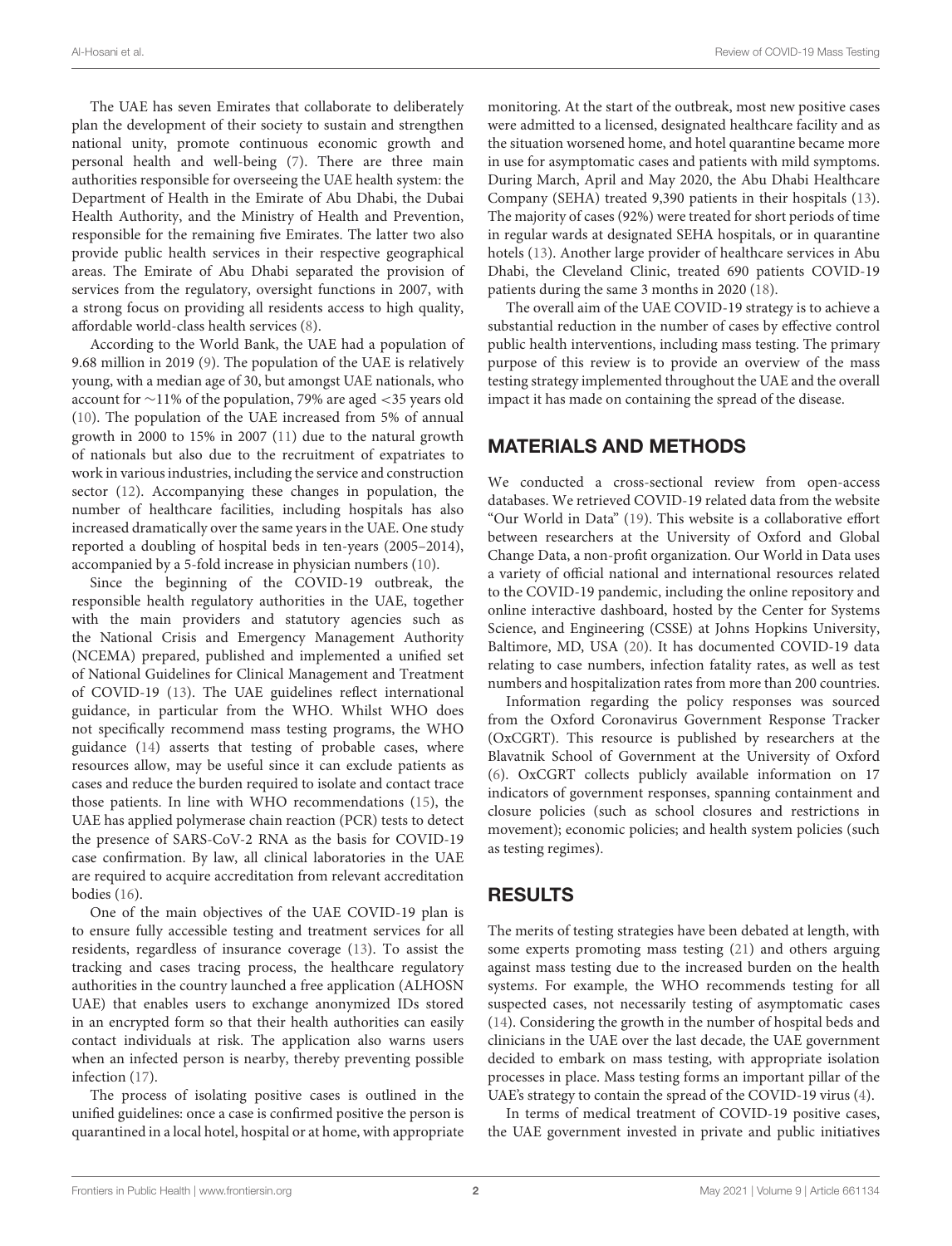The UAE has seven Emirates that collaborate to deliberately plan the development of their society to sustain and strengthen national unity, promote continuous economic growth and personal health and well-being [\(7\)](#page-5-6). There are three main authorities responsible for overseeing the UAE health system: the Department of Health in the Emirate of Abu Dhabi, the Dubai Health Authority, and the Ministry of Health and Prevention, responsible for the remaining five Emirates. The latter two also provide public health services in their respective geographical areas. The Emirate of Abu Dhabi separated the provision of services from the regulatory, oversight functions in 2007, with a strong focus on providing all residents access to high quality, affordable world-class health services [\(8\)](#page-5-7).

According to the World Bank, the UAE had a population of 9.68 million in 2019 [\(9\)](#page-5-8). The population of the UAE is relatively young, with a median age of 30, but amongst UAE nationals, who account for ∼11% of the population, 79% are aged <35 years old [\(10\)](#page-5-9). The population of the UAE increased from 5% of annual growth in 2000 to 15% in 2007 [\(11\)](#page-5-10) due to the natural growth of nationals but also due to the recruitment of expatriates to work in various industries, including the service and construction sector [\(12\)](#page-5-11). Accompanying these changes in population, the number of healthcare facilities, including hospitals has also increased dramatically over the same years in the UAE. One study reported a doubling of hospital beds in ten-years (2005–2014), accompanied by a 5-fold increase in physician numbers [\(10\)](#page-5-9).

Since the beginning of the COVID-19 outbreak, the responsible health regulatory authorities in the UAE, together with the main providers and statutory agencies such as the National Crisis and Emergency Management Authority (NCEMA) prepared, published and implemented a unified set of National Guidelines for Clinical Management and Treatment of COVID-19 [\(13\)](#page-5-12). The UAE guidelines reflect international guidance, in particular from the WHO. Whilst WHO does not specifically recommend mass testing programs, the WHO guidance [\(14\)](#page-5-13) asserts that testing of probable cases, where resources allow, may be useful since it can exclude patients as cases and reduce the burden required to isolate and contact trace those patients. In line with WHO recommendations [\(15\)](#page-5-14), the UAE has applied polymerase chain reaction (PCR) tests to detect the presence of SARS-CoV-2 RNA as the basis for COVID-19 case confirmation. By law, all clinical laboratories in the UAE are required to acquire accreditation from relevant accreditation bodies [\(16\)](#page-5-15).

One of the main objectives of the UAE COVID-19 plan is to ensure fully accessible testing and treatment services for all residents, regardless of insurance coverage [\(13\)](#page-5-12). To assist the tracking and cases tracing process, the healthcare regulatory authorities in the country launched a free application (ALHOSN UAE) that enables users to exchange anonymized IDs stored in an encrypted form so that their health authorities can easily contact individuals at risk. The application also warns users when an infected person is nearby, thereby preventing possible infection [\(17\)](#page-5-16).

The process of isolating positive cases is outlined in the unified guidelines: once a case is confirmed positive the person is quarantined in a local hotel, hospital or at home, with appropriate monitoring. At the start of the outbreak, most new positive cases were admitted to a licensed, designated healthcare facility and as the situation worsened home, and hotel quarantine became more in use for asymptomatic cases and patients with mild symptoms. During March, April and May 2020, the Abu Dhabi Healthcare Company (SEHA) treated 9,390 patients in their hospitals [\(13\)](#page-5-12). The majority of cases (92%) were treated for short periods of time in regular wards at designated SEHA hospitals, or in quarantine hotels [\(13\)](#page-5-12). Another large provider of healthcare services in Abu Dhabi, the Cleveland Clinic, treated 690 patients COVID-19 patients during the same 3 months in 2020 [\(18\)](#page-5-17).

The overall aim of the UAE COVID-19 strategy is to achieve a substantial reduction in the number of cases by effective control public health interventions, including mass testing. The primary purpose of this review is to provide an overview of the mass testing strategy implemented throughout the UAE and the overall impact it has made on containing the spread of the disease.

## MATERIALS AND METHODS

We conducted a cross-sectional review from open-access databases. We retrieved COVID-19 related data from the website "Our World in Data" [\(19\)](#page-5-18). This website is a collaborative effort between researchers at the University of Oxford and Global Change Data, a non-profit organization. Our World in Data uses a variety of official national and international resources related to the COVID-19 pandemic, including the online repository and online interactive dashboard, hosted by the Center for Systems Science, and Engineering (CSSE) at Johns Hopkins University, Baltimore, MD, USA [\(20\)](#page-5-19). It has documented COVID-19 data relating to case numbers, infection fatality rates, as well as test numbers and hospitalization rates from more than 200 countries.

Information regarding the policy responses was sourced from the Oxford Coronavirus Government Response Tracker (OxCGRT). This resource is published by researchers at the Blavatnik School of Government at the University of Oxford [\(6\)](#page-5-5). OxCGRT collects publicly available information on 17 indicators of government responses, spanning containment and closure policies (such as school closures and restrictions in movement); economic policies; and health system policies (such as testing regimes).

## RESULTS

The merits of testing strategies have been debated at length, with some experts promoting mass testing [\(21\)](#page-5-20) and others arguing against mass testing due to the increased burden on the health systems. For example, the WHO recommends testing for all suspected cases, not necessarily testing of asymptomatic cases [\(14\)](#page-5-13). Considering the growth in the number of hospital beds and clinicians in the UAE over the last decade, the UAE government decided to embark on mass testing, with appropriate isolation processes in place. Mass testing forms an important pillar of the UAE's strategy to contain the spread of the COVID-19 virus [\(4\)](#page-5-3).

In terms of medical treatment of COVID-19 positive cases, the UAE government invested in private and public initiatives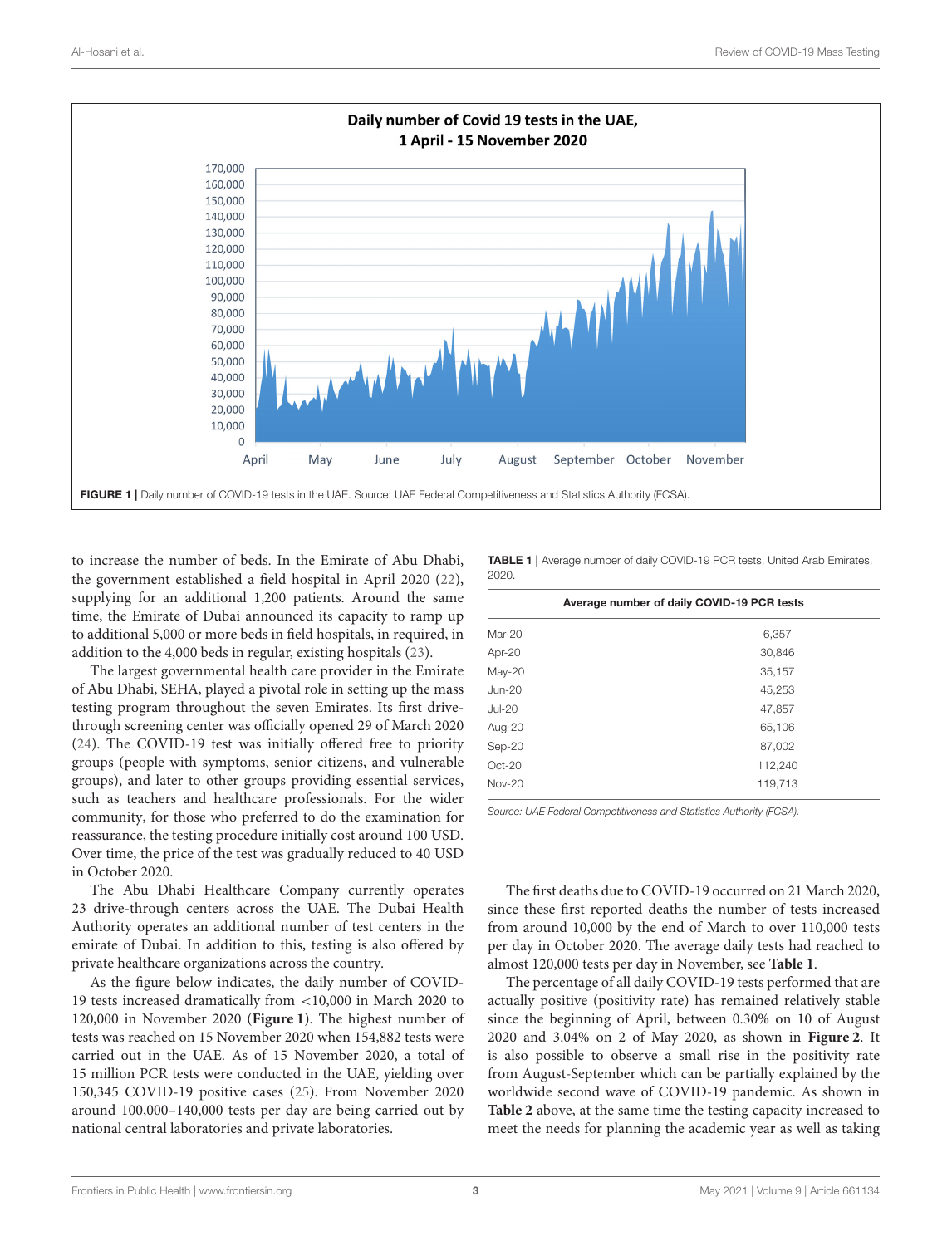

<span id="page-2-0"></span>to increase the number of beds. In the Emirate of Abu Dhabi, the government established a field hospital in April 2020 [\(22\)](#page-5-21), supplying for an additional 1,200 patients. Around the same time, the Emirate of Dubai announced its capacity to ramp up to additional 5,000 or more beds in field hospitals, in required, in addition to the 4,000 beds in regular, existing hospitals [\(23\)](#page-5-22).

The largest governmental health care provider in the Emirate of Abu Dhabi, SEHA, played a pivotal role in setting up the mass testing program throughout the seven Emirates. Its first drivethrough screening center was officially opened 29 of March 2020 [\(24\)](#page-6-0). The COVID-19 test was initially offered free to priority groups (people with symptoms, senior citizens, and vulnerable groups), and later to other groups providing essential services, such as teachers and healthcare professionals. For the wider community, for those who preferred to do the examination for reassurance, the testing procedure initially cost around 100 USD. Over time, the price of the test was gradually reduced to 40 USD in October 2020.

The Abu Dhabi Healthcare Company currently operates 23 drive-through centers across the UAE. The Dubai Health Authority operates an additional number of test centers in the emirate of Dubai. In addition to this, testing is also offered by private healthcare organizations across the country.

As the figure below indicates, the daily number of COVID-19 tests increased dramatically from <10,000 in March 2020 to 120,000 in November 2020 (**[Figure 1](#page-2-0)**). The highest number of tests was reached on 15 November 2020 when 154,882 tests were carried out in the UAE. As of 15 November 2020, a total of 15 million PCR tests were conducted in the UAE, yielding over 150,345 COVID-19 positive cases [\(25\)](#page-6-1). From November 2020 around 100,000–140,000 tests per day are being carried out by national central laboratories and private laboratories.

<span id="page-2-1"></span>TABLE 1 | Average number of daily COVID-19 PCR tests, United Arab Emirates, 2020.

|               | Average number of daily COVID-19 PCR tests |  |  |
|---------------|--------------------------------------------|--|--|
| $Mar-20$      | 6,357                                      |  |  |
| Apr-20        | 30,846                                     |  |  |
| May-20        | 35,157                                     |  |  |
| <b>Jun-20</b> | 45,253                                     |  |  |
| <b>Jul-20</b> | 47,857                                     |  |  |
| Aug-20        | 65,106                                     |  |  |
| Sep-20        | 87,002                                     |  |  |
| $Oct-20$      | 112,240                                    |  |  |
| $Nov-20$      | 119,713                                    |  |  |

*Source: UAE Federal Competitiveness and Statistics Authority (FCSA).*

The first deaths due to COVID-19 occurred on 21 March 2020, since these first reported deaths the number of tests increased from around 10,000 by the end of March to over 110,000 tests per day in October 2020. The average daily tests had reached to almost 120,000 tests per day in November, see **[Table 1](#page-2-1)**.

The percentage of all daily COVID-19 tests performed that are actually positive (positivity rate) has remained relatively stable since the beginning of April, between 0.30% on 10 of August 2020 and 3.04% on 2 of May 2020, as shown in **[Figure 2](#page-3-0)**. It is also possible to observe a small rise in the positivity rate from August-September which can be partially explained by the worldwide second wave of COVID-19 pandemic. As shown in **[Table 2](#page-3-1)** above, at the same time the testing capacity increased to meet the needs for planning the academic year as well as taking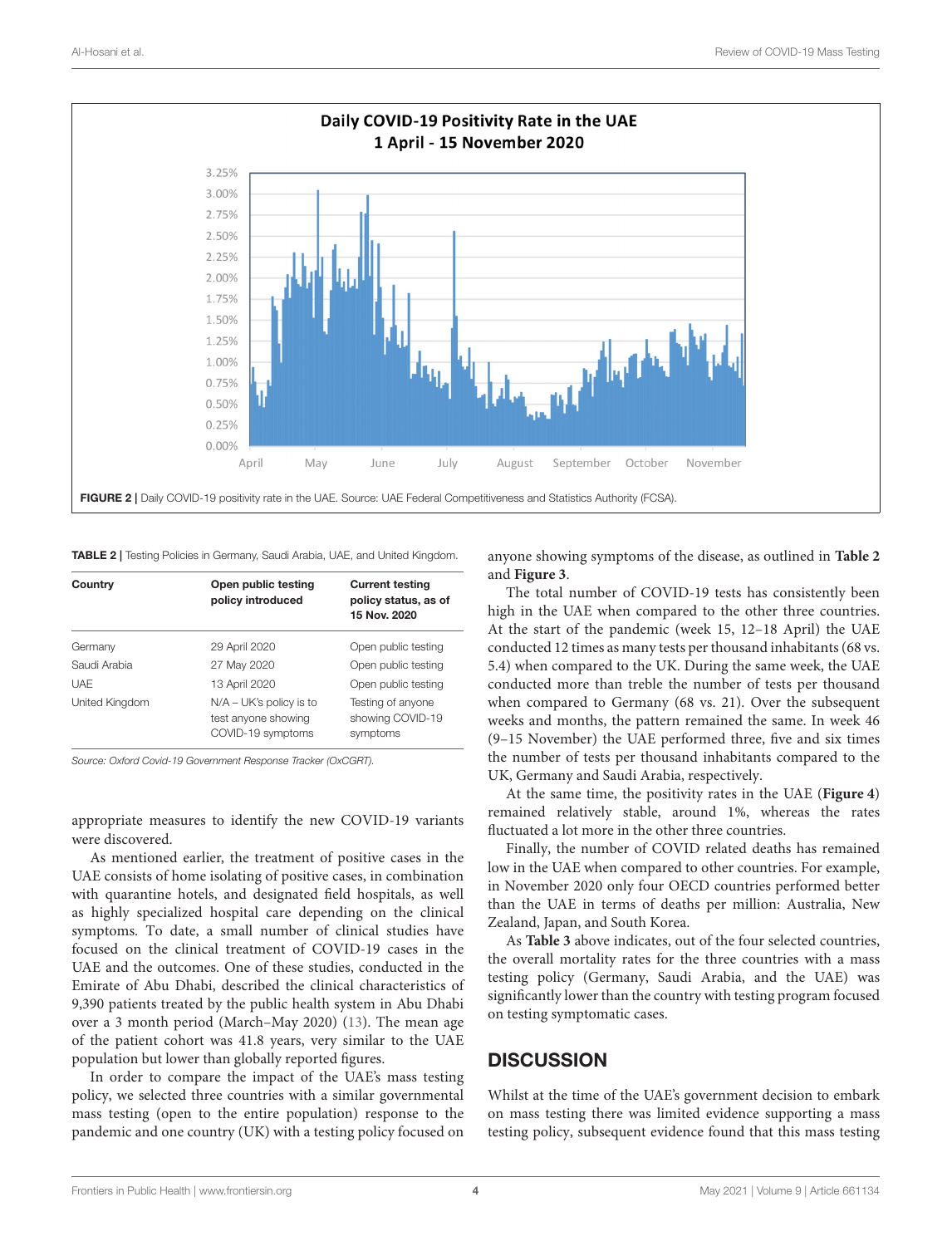

<span id="page-3-1"></span><span id="page-3-0"></span>TABLE 2 | Testing Policies in Germany, Saudi Arabia, UAE, and United Kingdom.

| Country        | Open public testing<br>policy introduced                              | <b>Current testing</b><br>policy status, as of<br>15 Nov. 2020 |
|----------------|-----------------------------------------------------------------------|----------------------------------------------------------------|
| Germany        | 29 April 2020                                                         | Open public testing                                            |
| Saudi Arabia   | 27 May 2020                                                           | Open public testing                                            |
| <b>UAF</b>     | 13 April 2020                                                         | Open public testing                                            |
| United Kingdom | $N/A - UK's$ policy is to<br>test anyone showing<br>COVID-19 symptoms | Testing of anyone<br>showing COVID-19<br>symptoms              |

*Source: Oxford Covid-19 Government Response Tracker (OxCGRT).*

appropriate measures to identify the new COVID-19 variants were discovered.

As mentioned earlier, the treatment of positive cases in the UAE consists of home isolating of positive cases, in combination with quarantine hotels, and designated field hospitals, as well as highly specialized hospital care depending on the clinical symptoms. To date, a small number of clinical studies have focused on the clinical treatment of COVID-19 cases in the UAE and the outcomes. One of these studies, conducted in the Emirate of Abu Dhabi, described the clinical characteristics of 9,390 patients treated by the public health system in Abu Dhabi over a 3 month period (March–May 2020) [\(13\)](#page-5-12). The mean age of the patient cohort was 41.8 years, very similar to the UAE population but lower than globally reported figures.

In order to compare the impact of the UAE's mass testing policy, we selected three countries with a similar governmental mass testing (open to the entire population) response to the pandemic and one country (UK) with a testing policy focused on

anyone showing symptoms of the disease, as outlined in **[Table 2](#page-3-1)** and **[Figure 3](#page-4-0)**.

The total number of COVID-19 tests has consistently been high in the UAE when compared to the other three countries. At the start of the pandemic (week 15, 12–18 April) the UAE conducted 12 times as many tests per thousand inhabitants (68 vs. 5.4) when compared to the UK. During the same week, the UAE conducted more than treble the number of tests per thousand when compared to Germany (68 vs. 21). Over the subsequent weeks and months, the pattern remained the same. In week 46 (9–15 November) the UAE performed three, five and six times the number of tests per thousand inhabitants compared to the UK, Germany and Saudi Arabia, respectively.

At the same time, the positivity rates in the UAE (**[Figure 4](#page-4-1)**) remained relatively stable, around 1%, whereas the rates fluctuated a lot more in the other three countries.

Finally, the number of COVID related deaths has remained low in the UAE when compared to other countries. For example, in November 2020 only four OECD countries performed better than the UAE in terms of deaths per million: Australia, New Zealand, Japan, and South Korea.

As **[Table 3](#page-4-2)** above indicates, out of the four selected countries, the overall mortality rates for the three countries with a mass testing policy (Germany, Saudi Arabia, and the UAE) was significantly lower than the country with testing program focused on testing symptomatic cases.

## **DISCUSSION**

Whilst at the time of the UAE's government decision to embark on mass testing there was limited evidence supporting a mass testing policy, subsequent evidence found that this mass testing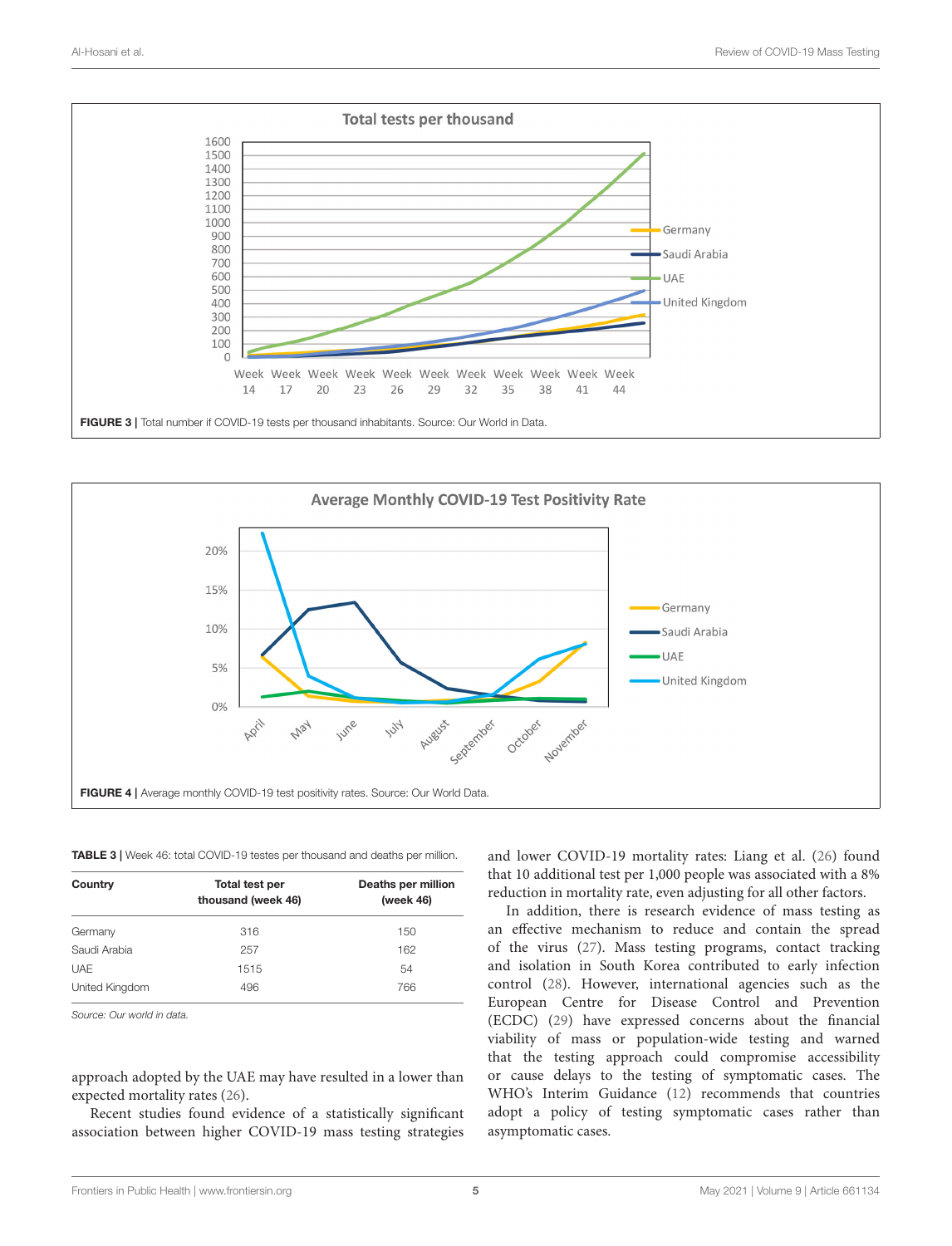

<span id="page-4-0"></span>

#### <span id="page-4-2"></span><span id="page-4-1"></span>TABLE 3 | Week 46: total COVID-19 testes per thousand and deaths per million.

| Country        | Total test per<br>thousand (week 46) | Deaths per million<br>(week 46) |
|----------------|--------------------------------------|---------------------------------|
| Germany        | 316                                  | 150                             |
| Saudi Arabia   | 257                                  | 162                             |
| UAF            | 1515                                 | 54                              |
| United Kingdom | 496                                  | 766                             |

*Source: Our world in data.*

approach adopted by the UAE may have resulted in a lower than expected mortality rates [\(26\)](#page-6-2).

Recent studies found evidence of a statistically significant association between higher COVID-19 mass testing strategies and lower COVID-19 mortality rates: Liang et al. [\(26\)](#page-6-2) found that 10 additional test per 1,000 people was associated with a 8% reduction in mortality rate, even adjusting for all other factors.

In addition, there is research evidence of mass testing as an effective mechanism to reduce and contain the spread of the virus [\(27\)](#page-6-3). Mass testing programs, contact tracking and isolation in South Korea contributed to early infection control [\(28\)](#page-6-4). However, international agencies such as the European Centre for Disease Control and Prevention (ECDC) [\(29\)](#page-6-5) have expressed concerns about the financial viability of mass or population-wide testing and warned that the testing approach could compromise accessibility or cause delays to the testing of symptomatic cases. The WHO's Interim Guidance [\(12\)](#page-5-11) recommends that countries adopt a policy of testing symptomatic cases rather than asymptomatic cases.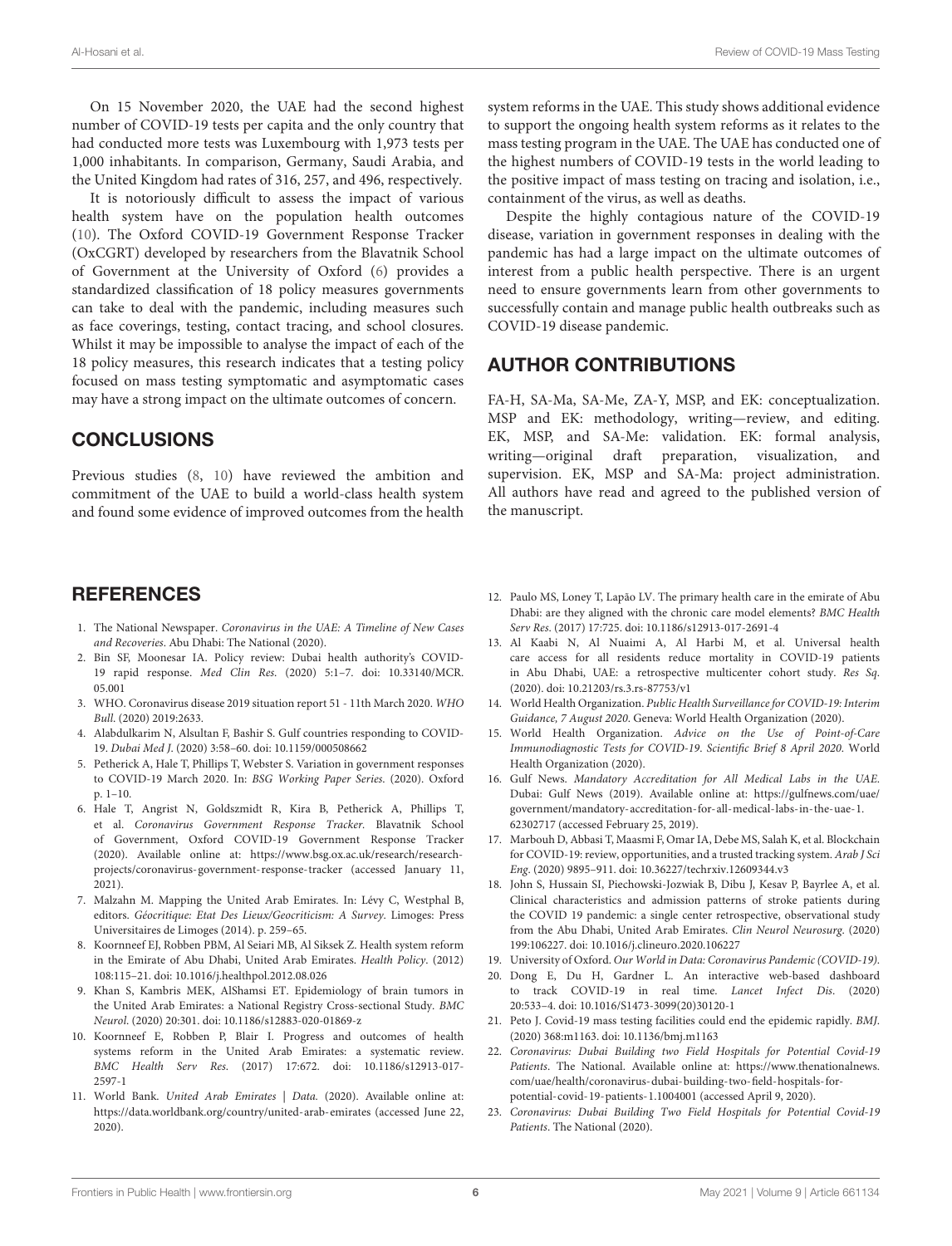On 15 November 2020, the UAE had the second highest number of COVID-19 tests per capita and the only country that had conducted more tests was Luxembourg with 1,973 tests per 1,000 inhabitants. In comparison, Germany, Saudi Arabia, and the United Kingdom had rates of 316, 257, and 496, respectively.

It is notoriously difficult to assess the impact of various health system have on the population health outcomes [\(10\)](#page-5-9). The Oxford COVID-19 Government Response Tracker (OxCGRT) developed by researchers from the Blavatnik School of Government at the University of Oxford [\(6\)](#page-5-5) provides a standardized classification of 18 policy measures governments can take to deal with the pandemic, including measures such as face coverings, testing, contact tracing, and school closures. Whilst it may be impossible to analyse the impact of each of the 18 policy measures, this research indicates that a testing policy focused on mass testing symptomatic and asymptomatic cases may have a strong impact on the ultimate outcomes of concern.

# **CONCLUSIONS**

Previous studies [\(8,](#page-5-7) [10\)](#page-5-9) have reviewed the ambition and commitment of the UAE to build a world-class health system and found some evidence of improved outcomes from the health

### **REFERENCES**

- <span id="page-5-0"></span>1. The National Newspaper. Coronavirus in the UAE: A Timeline of New Cases and Recoveries. Abu Dhabi: The National (2020).
- <span id="page-5-1"></span>2. Bin SF, Moonesar IA. Policy review: Dubai health authority's COVID-19 rapid response. Med Clin Res[. \(2020\) 5:1–7. doi: 10.33140/MCR.](https://doi.org/10.33140/MCR.05.001) 05.001
- <span id="page-5-2"></span>3. WHO. Coronavirus disease 2019 situation report 51 - 11th March 2020. WHO Bull. (2020) 2019:2633.
- <span id="page-5-3"></span>4. Alabdulkarim N, Alsultan F, Bashir S. Gulf countries responding to COVID-19. Dubai Med J. (2020) 3:58–60. doi: [10.1159/000508662](https://doi.org/10.1159/000508662)
- <span id="page-5-4"></span>5. Petherick A, Hale T, Phillips T, Webster S. Variation in government responses to COVID-19 March 2020. In: BSG Working Paper Series. (2020). Oxford p. 1–10.
- <span id="page-5-5"></span>6. Hale T, Angrist N, Goldszmidt R, Kira B, Petherick A, Phillips T, et al. Coronavirus Government Response Tracker. Blavatnik School of Government, Oxford COVID-19 Government Response Tracker (2020). Available online at: [https://www.bsg.ox.ac.uk/research/research](https://www.bsg.ox.ac.uk/research/research-projects/coronavirus-government-response-tracker)[projects/coronavirus-government-response-tracker](https://www.bsg.ox.ac.uk/research/research-projects/coronavirus-government-response-tracker) (accessed January 11, 2021).
- <span id="page-5-6"></span>7. Malzahn M. Mapping the United Arab Emirates. In: Lévy C, Westphal B, editors. Géocritique: Etat Des Lieux/Geocriticism: A Survey. Limoges: Press Universitaires de Limoges (2014). p. 259–65.
- <span id="page-5-7"></span>8. Koornneef EJ, Robben PBM, Al Seiari MB, Al Siksek Z. Health system reform in the Emirate of Abu Dhabi, United Arab Emirates. Health Policy. (2012) 108:115–21. doi: [10.1016/j.healthpol.2012.08.026](https://doi.org/10.1016/j.healthpol.2012.08.026)
- <span id="page-5-8"></span>9. Khan S, Kambris MEK, AlShamsi ET. Epidemiology of brain tumors in the United Arab Emirates: a National Registry Cross-sectional Study. BMC Neurol. (2020) 20:301. doi: [10.1186/s12883-020-01869-z](https://doi.org/10.1186/s12883-020-01869-z)
- <span id="page-5-9"></span>10. Koornneef E, Robben P, Blair I. Progress and outcomes of health systems reform in the United Arab Emirates: a systematic review. BMC Health Serv Res[. \(2017\) 17:672. doi: 10.1186/s12913-017-](https://doi.org/10.1186/s12913-017-2597-1) 2597-1
- <span id="page-5-10"></span>11. World Bank. United Arab Emirates | Data. (2020). Available online at: <https://data.worldbank.org/country/united-arab-emirates> (accessed June 22, 2020).

system reforms in the UAE. This study shows additional evidence to support the ongoing health system reforms as it relates to the mass testing program in the UAE. The UAE has conducted one of the highest numbers of COVID-19 tests in the world leading to the positive impact of mass testing on tracing and isolation, i.e., containment of the virus, as well as deaths.

Despite the highly contagious nature of the COVID-19 disease, variation in government responses in dealing with the pandemic has had a large impact on the ultimate outcomes of interest from a public health perspective. There is an urgent need to ensure governments learn from other governments to successfully contain and manage public health outbreaks such as COVID-19 disease pandemic.

### AUTHOR CONTRIBUTIONS

FA-H, SA-Ma, SA-Me, ZA-Y, MSP, and EK: conceptualization. MSP and EK: methodology, writing—review, and editing. EK, MSP, and SA-Me: validation. EK: formal analysis, writing—original draft preparation, visualization, and supervision. EK, MSP and SA-Ma: project administration. All authors have read and agreed to the published version of the manuscript.

- <span id="page-5-11"></span>12. Paulo MS, Loney T, Lapão LV. The primary health care in the emirate of Abu Dhabi: are they aligned with the chronic care model elements? BMC Health Serv Res. (2017) 17:725. doi: [10.1186/s12913-017-2691-4](https://doi.org/10.1186/s12913-017-2691-4)
- <span id="page-5-12"></span>13. Al Kaabi N, Al Nuaimi A, Al Harbi M, et al. Universal health care access for all residents reduce mortality in COVID-19 patients in Abu Dhabi, UAE: a retrospective multicenter cohort study. Res Sq. (2020). doi: [10.21203/rs.3.rs-87753/v1](https://doi.org/10.21203/rs.3.rs-87753/v1)
- <span id="page-5-13"></span>14. World Health Organization. Public Health Surveillance for COVID-19: Interim Guidance, 7 August 2020. Geneva: World Health Organization (2020).
- <span id="page-5-14"></span>15. World Health Organization. Advice on the Use of Point-of-Care Immunodiagnostic Tests for COVID-19. Scientific Brief 8 April 2020. World Health Organization (2020).
- <span id="page-5-15"></span>16. Gulf News. Mandatory Accreditation for All Medical Labs in the UAE. Dubai: Gulf News (2019). Available online at: [https://gulfnews.com/uae/](https://gulfnews.com/uae/government/mandatory-accreditation-for-all-medical-labs-in-the-uae-1.62302717) [government/mandatory-accreditation-for-all-medical-labs-in-the-uae-1.](https://gulfnews.com/uae/government/mandatory-accreditation-for-all-medical-labs-in-the-uae-1.62302717) [62302717](https://gulfnews.com/uae/government/mandatory-accreditation-for-all-medical-labs-in-the-uae-1.62302717) (accessed February 25, 2019).
- <span id="page-5-16"></span>17. Marbouh D, Abbasi T, Maasmi F, Omar IA, Debe MS, Salah K, et al. Blockchain for COVID-19: review, opportunities, and a trusted tracking system. Arab J Sci Eng. (2020) 9895–911. doi: [10.36227/techrxiv.12609344.v3](https://doi.org/10.36227/techrxiv.12609344.v3)
- <span id="page-5-17"></span>18. John S, Hussain SI, Piechowski-Jozwiak B, Dibu J, Kesav P, Bayrlee A, et al. Clinical characteristics and admission patterns of stroke patients during the COVID 19 pandemic: a single center retrospective, observational study from the Abu Dhabi, United Arab Emirates. Clin Neurol Neurosurg. (2020) 199:106227. doi: [10.1016/j.clineuro.2020.106227](https://doi.org/10.1016/j.clineuro.2020.106227)
- <span id="page-5-18"></span>19. University of Oxford. Our World in Data: Coronavirus Pandemic (COVID-19).
- <span id="page-5-19"></span>20. Dong E, Du H, Gardner L. An interactive web-based dashboard to track COVID-19 in real time. Lancet Infect Dis. (2020) 20:533–4. doi: [10.1016/S1473-3099\(20\)30120-1](https://doi.org/10.1016/S1473-3099(20)30120-1)
- <span id="page-5-20"></span>21. Peto J. Covid-19 mass testing facilities could end the epidemic rapidly. BMJ. (2020) 368:m1163. doi: [10.1136/bmj.m1163](https://doi.org/10.1136/bmj.m1163)
- <span id="page-5-21"></span>22. Coronavirus: Dubai Building two Field Hospitals for Potential Covid-19 Patients. The National. Available online at: [https://www.thenationalnews.](https://www.thenationalnews.com/uae/health/coronavirus-dubai-building-two-field-hospitals-for-potential-covid-19-patients-1.1004001) [com/uae/health/coronavirus-dubai-building-two-field-hospitals-for](https://www.thenationalnews.com/uae/health/coronavirus-dubai-building-two-field-hospitals-for-potential-covid-19-patients-1.1004001)[potential-covid-19-patients-1.1004001](https://www.thenationalnews.com/uae/health/coronavirus-dubai-building-two-field-hospitals-for-potential-covid-19-patients-1.1004001) (accessed April 9, 2020).
- <span id="page-5-22"></span>23. Coronavirus: Dubai Building Two Field Hospitals for Potential Covid-19 Patients. The National (2020).